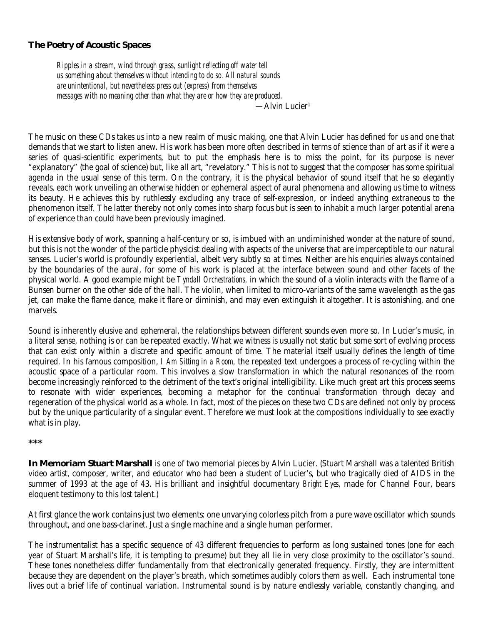### **The Poetry of Acoustic Spaces**

*Ripples in a stream, wind through grass, sunlight reflecting off water tell us something about themselves without intending to do so. All natural sounds are unintentional, but nevertheless press out (express) from themselves messages with no meaning other than what they are or how they are produced.*

 $-$ Alvin Lucier $^1$ 

The music on these CDs takes us into a new realm of music making, one that Alvin Lucier has defined for us and one that demands that we start to listen anew. His work has been more often described in terms of science than of art as if it were a series of quasi-scientific experiments, but to put the emphasis here is to miss the point, for its purpose is never "explanatory" (the goal of science) but, like all art, "revelatory." This is not to suggest that the composer has some spiritual agenda in the usual sense of this term. On the contrary, it is the physical behavior of sound itself that he so elegantly reveals, each work unveiling an otherwise hidden or ephemeral aspect of aural phenomena and allowing us time to witness its beauty. He achieves this by ruthlessly excluding any trace of self-expression, or indeed anything extraneous to the phenomenon itself. The latter thereby not only comes into sharp focus but is seen to inhabit a much larger potential arena of experience than could have been previously imagined.

His extensive body of work, spanning a half-century or so, is imbued with an undiminished wonder at the nature of sound, but this is not the wonder of the particle physicist dealing with aspects of the universe that are imperceptible to our natural senses. Lucier's world is profoundly experiential, albeit very subtly so at times. Neither are his enquiries always contained by the boundaries of the aural, for some of his work is placed at the interface between sound and other facets of the physical world. A good example might be *Tyndall Orchestrations,* in which the sound of a violin interacts with the flame of a Bunsen burner on the other side of the hall. The violin, when limited to micro-variants of the same wavelength as the gas jet, can make the flame dance, make it flare or diminish, and may even extinguish it altogether. It is astonishing, and one marvels.

Sound is inherently elusive and ephemeral, the relationships between different sounds even more so. In Lucier's music, in a literal sense, nothing is or can be repeated exactly. What we witness is usually not static but some sort of evolving process that can exist only within a discrete and specific amount of time. The material itself usually defines the length of time required. In his famous composition, *I Am Sitting in a Room,* the repeated text undergoes a process of re-cycling within the acoustic space of a particular room. This involves a slow transformation in which the natural resonances of the room become increasingly reinforced to the detriment of the text's original intelligibility. Like much great art this process seems to resonate with wider experiences, becoming a metaphor for the continual transformation through decay and regeneration of the physical world as a whole. In fact, most of the pieces on these two CDs are defined not only by process but by the unique particularity of a singular event. Therefore we must look at the compositions individually to see exactly what is in play.

#### *\*\*\**

*In Memoriam Stuart Marshall* is one of two memorial pieces by Alvin Lucier. (Stuart Marshall was a talented British video artist, composer, writer, and educator who had been a student of Lucier's, but who tragically died of AIDS in the summer of 1993 at the age of 43. His brilliant and insightful documentary *Bright Eyes,* made for Channel Four, bears eloquent testimony to this lost talent.)

At first glance the work contains just two elements: one unvarying colorless pitch from a pure wave oscillator which sounds throughout, and one bass-clarinet. Just a single machine and a single human performer.

The instrumentalist has a specific sequence of 43 different frequencies to perform as long sustained tones (one for each year of Stuart Marshall's life, it is tempting to presume) but they all lie in very close proximity to the oscillator's sound. These tones nonetheless differ fundamentally from that electronically generated frequency. Firstly, they are intermittent because they are dependent on the player's breath, which sometimes audibly colors them as well. Each instrumental tone lives out a brief life of continual variation. Instrumental sound is by nature endlessly variable, constantly changing, and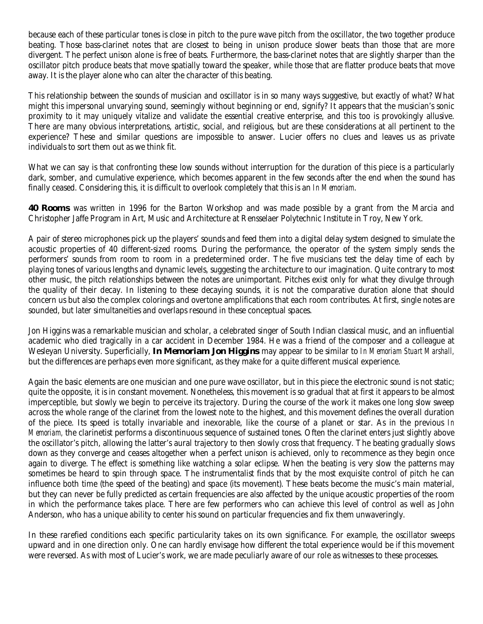because each of these particular tones is close in pitch to the pure wave pitch from the oscillator, the two together produce beating. Those bass-clarinet notes that are closest to being in unison produce slower beats than those that are more divergent. The perfect unison alone is free of beats. Furthermore, the bass-clarinet notes that are slightly sharper than the oscillator pitch produce beats that move spatially toward the speaker, while those that are flatter produce beats that move away. It is the player alone who can alter the character of this beating.

This relationship between the sounds of musician and oscillator is in so many ways suggestive, but exactly of what? What might this impersonal unvarying sound, seemingly without beginning or end, signify? It appears that the musician's sonic proximity to it may uniquely vitalize and validate the essential creative enterprise, and this too is provokingly allusive. There are many obvious interpretations, artistic, social, and religious, but are these considerations at all pertinent to the experience? These and similar questions are impossible to answer. Lucier offers no clues and leaves us as private individuals to sort them out as we think fit.

What we can say is that confronting these low sounds without interruption for the duration of this piece is a particularly dark, somber, and cumulative experience, which becomes apparent in the few seconds after the end when the sound has finally ceased. Considering this, it is difficult to overlook completely that this is an *In Memoriam*.

*40 Rooms* was written in 1996 for the Barton Workshop and was made possible by a grant from the Marcia and Christopher Jaffe Program in Art, Music and Architecture at Rensselaer Polytechnic Institute in Troy, New York.

A pair of stereo microphones pick up the players' sounds and feed them into a digital delay system designed to simulate the acoustic properties of 40 different-sized rooms. During the performance, the operator of the system simply sends the performers' sounds from room to room in a predetermined order. The five musicians test the delay time of each by playing tones of various lengths and dynamic levels, suggesting the architecture to our imagination. Quite contrary to most other music, the pitch relationships between the notes are unimportant. Pitches exist only for what they divulge through the quality of their decay. In listening to these decaying sounds, it is not the comparative duration alone that should concern us but also the complex colorings and overtone amplifications that each room contributes. At first, single notes are sounded, but later simultaneities and overlaps resound in these conceptual spaces.

Jon Higgins was a remarkable musician and scholar, a celebrated singer of South Indian classical music, and an influential academic who died tragically in a car accident in December 1984. He was a friend of the composer and a colleague at Wesleyan University. Superficially, *In Memoriam Jon Higgins* may appear to be similar to *In Memoriam Stuart Marshall,* but the differences are perhaps even more significant, as they make for a quite different musical experience.

Again the basic elements are one musician and one pure wave oscillator, but in this piece the electronic sound is not static; quite the opposite, it is in constant movement. Nonetheless, this movement is so gradual that at first it appears to be almost imperceptible, but slowly we begin to perceive its trajectory. During the course of the work it makes one long slow sweep across the whole range of the clarinet from the lowest note to the highest, and this movement defines the overall duration of the piece. Its speed is totally invariable and inexorable, like the course of a planet or star. As in the previous *In Memoriam,* the clarinetist performs a discontinuous sequence of sustained tones. Often the clarinet enters just slightly above the oscillator's pitch, allowing the latter's aural trajectory to then slowly cross that frequency. The beating gradually slows down as they converge and ceases altogether when a perfect unison is achieved, only to recommence as they begin once again to diverge. The effect is something like watching a solar eclipse. When the beating is very slow the patterns may sometimes be heard to spin through space. The instrumentalist finds that by the most exquisite control of pitch he can influence both time (the speed of the beating) and space (its movement). These beats become the music's main material, but they can never be fully predicted as certain frequencies are also affected by the unique acoustic properties of the room in which the performance takes place. There are few performers who can achieve this level of control as well as John Anderson, who has a unique ability to center his sound on particular frequencies and fix them unwaveringly.

In these rarefied conditions each specific particularity takes on its own significance. For example, the oscillator sweeps upward and in one direction only. One can hardly envisage how different the total experience would be if this movement were reversed. As with most of Lucier's work, we are made peculiarly aware of our role as witnesses to these processes.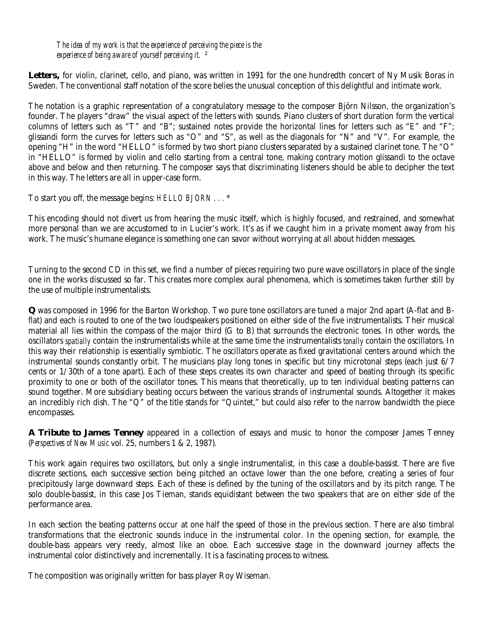*The idea of my work is that the experience of perceiving the piece is the experience of being aware of yourself perceiving it.* ²

Letters, for violin, clarinet, cello, and piano, was written in 1991 for the one hundredth concert of Ny Musik Boras in Sweden. The conventional staff notation of the score belies the unusual conception of this delightful and intimate work.

The notation is a graphic representation of a congratulatory message to the composer Björn Nilsson, the organization's founder. The players "draw" the visual aspect of the letters with sounds. Piano clusters of short duration form the vertical columns of letters such as "T" and "B"; sustained notes provide the horizontal lines for letters such as "E" and "F"; glissandi form the curves for letters such as "O" and "S", as well as the diagonals for "N" and "V". For example, the opening "H" in the word "HELLO" is formed by two short piano clusters separated by a sustained clarinet tone. The "O" in "HELLO" is formed by violin and cello starting from a central tone, making contrary motion glissandi to the octave above and below and then returning. The composer says that discriminating listeners should be able to decipher the text in this way. The letters are all in upper-case form.

To start you off, the message begins: *HELLO BJORN . . .* \*

This encoding should not divert us from hearing the music itself, which is highly focused, and restrained, and somewhat more personal than we are accustomed to in Lucier's work. It's as if we caught him in a private moment away from his work. The music's humane elegance is something one can savor without worrying at all about hidden messages.

Turning to the second CD in this set, we find a number of pieces requiring two pure wave oscillators in place of the single one in the works discussed so far. This creates more complex aural phenomena, which is sometimes taken further still by the use of multiple instrumentalists.

*Q* was composed in 1996 for the Barton Workshop. Two pure tone oscillators are tuned a major 2nd apart (A-flat and Bflat) and each is routed to one of the two loudspeakers positioned on either side of the five instrumentalists. Their musical material all lies within the compass of the major third (G to B) that surrounds the electronic tones. In other words, the oscillators *spatially* contain the instrumentalists while at the same time the instrumentalists *tonally* contain the oscillators. In this way their relationship is essentially symbiotic. The oscillators operate as fixed gravitational centers around which the instrumental sounds constantly orbit. The musicians play long tones in specific but tiny microtonal steps (each just 6/7 cents or 1/30th of a tone apart). Each of these steps creates its own character and speed of beating through its specific proximity to one or both of the oscillator tones. This means that theoretically, up to ten individual beating patterns can sound together. More subsidiary beating occurs between the various strands of instrumental sounds. Altogether it makes an incredibly rich dish. The "Q" of the title stands for "Quintet," but could also refer to the narrow bandwidth the piece encompasses.

*A Tribute to James Tenney* appeared in a collection of essays and music to honor the composer James Tenney (*Perspectives of New Music* vol. 25, numbers 1 & 2, 1987).

This work again requires two oscillators, but only a single instrumentalist, in this case a double-bassist. There are five discrete sections, each successive section being pitched an octave lower than the one before, creating a series of four precipitously large downward steps. Each of these is defined by the tuning of the oscillators and by its pitch range. The solo double-bassist, in this case Jos Tieman, stands equidistant between the two speakers that are on either side of the performance area.

In each section the beating patterns occur at one half the speed of those in the previous section. There are also timbral transformations that the electronic sounds induce in the instrumental color. In the opening section, for example, the double-bass appears very reedy, almost like an oboe. Each successive stage in the downward journey affects the instrumental color distinctively and incrementally. It is a fascinating process to witness.

The composition was originally written for bass player Roy Wiseman.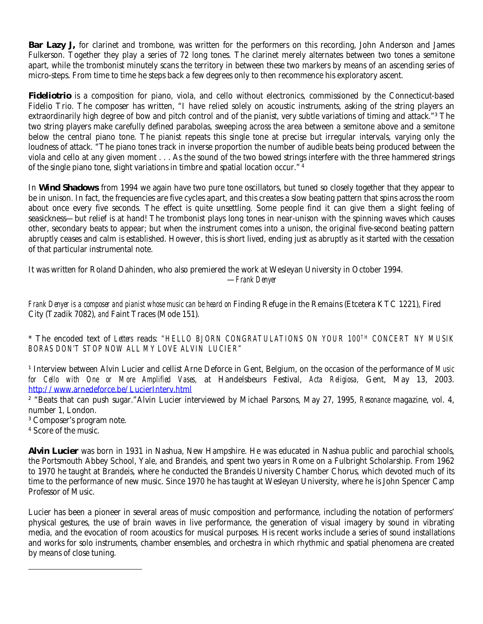*Bar Lazy J,* for clarinet and trombone, was written for the performers on this recording, John Anderson and James Fulkerson. Together they play a series of 72 long tones. The clarinet merely alternates between two tones a semitone apart, while the trombonist minutely scans the territory in between these two markers by means of an ascending series of micro-steps. From time to time he steps back a few degrees only to then recommence his exploratory ascent.

*Fideliotrio* is a composition for piano, viola, and cello without electronics, commissioned by the Connecticut-based Fidelio Trio. The composer has written, "I have relied solely on acoustic instruments, asking of the string players an extraordinarily high degree of bow and pitch control and of the pianist, very subtle variations of timing and attack."<sup>3</sup> The two string players make carefully defined parabolas, sweeping across the area between a semitone above and a semitone below the central piano tone. The pianist repeats this single tone at precise but irregular intervals, varying only the loudness of attack. "The piano tones track in inverse proportion the number of audible beats being produced between the viola and cello at any given moment . . . As the sound of the two bowed strings interfere with the three hammered strings of the single piano tone, slight variations in timbre and spatial location occur." 4

In *Wind Shadows* from 1994 we again have two pure tone oscillators, but tuned so closely together that they appear to be in unison. In fact, the frequencies are five cycles apart, and this creates a slow beating pattern that spins across the room about once every five seconds. The effect is quite unsettling. Some people find it can give them a slight feeling of seasickness—but relief is at hand! The trombonist plays long tones in near-unison with the spinning waves which causes other, secondary beats to appear; but when the instrument comes into a unison, the original five-second beating pattern abruptly ceases and calm is established. However, this is short lived, ending just as abruptly as it started with the cessation of that particular instrumental note.

It was written for Roland Dahinden, who also premiered the work at Wesleyan University in October 1994.

—*Frank Denyer*

*Frank Denyer is a composer and pianist whose music can be heard on* Finding Refuge in the Remains (Etcetera KTC 1221), Fired City (Tzadik 7082), *and* Faint Traces (Mode 151).

\* The encoded text of *Letters* reads: *"HELLO BJORN CONGRATULATIONS ON YOUR 100TH CONCERT NY MUSIK BORAS DON'T STOP NOW ALL MY LOVE ALVIN LUCIER"* 

<sup>1</sup> Interview between Alvin Lucier and cellist Arne Deforce in Gent, Belgium, on the occasion of the performance of *Music for Cello with One or More Amplified Vases,* at Handelsbeurs Festival, *Acta Religiosa,* Gent, May 13, 2003. http://www.arnedeforce.be/LucierInterv.html

² "Beats that can push sugar."Alvin Lucier interviewed by Michael Parsons, May 27, 1995, *Resonance* magazine, vol. 4, number 1, London.

³ Composer's program note.

4 Score of the music.

 $\overline{a}$ 

**Alvin Lucier** was born in 1931 in Nashua, New Hampshire. He was educated in Nashua public and parochial schools, the Portsmouth Abbey School, Yale, and Brandeis, and spent two years in Rome on a Fulbright Scholarship. From 1962 to 1970 he taught at Brandeis, where he conducted the Brandeis University Chamber Chorus, which devoted much of its time to the performance of new music. Since 1970 he has taught at Wesleyan University, where he is John Spencer Camp Professor of Music.

Lucier has been a pioneer in several areas of music composition and performance, including the notation of performers' physical gestures, the use of brain waves in live performance, the generation of visual imagery by sound in vibrating media, and the evocation of room acoustics for musical purposes. His recent works include a series of sound installations and works for solo instruments, chamber ensembles, and orchestra in which rhythmic and spatial phenomena are created by means of close tuning.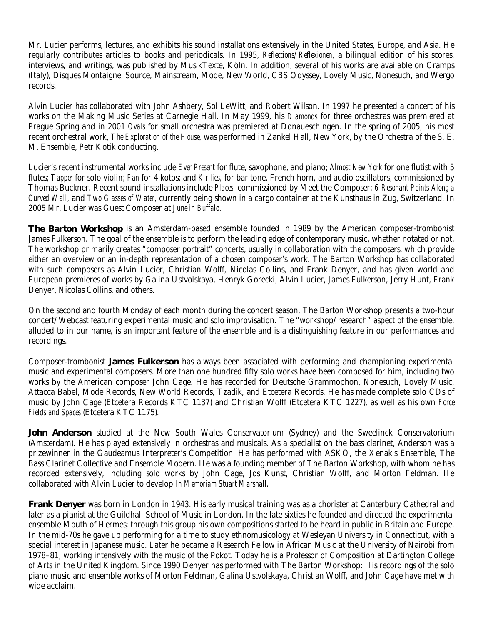Mr. Lucier performs, lectures, and exhibits his sound installations extensively in the United States, Europe, and Asia. He regularly contributes articles to books and periodicals. In 1995, *Reflections/Reflexionen,* a bilingual edition of his scores, interviews, and writings, was published by MusikTexte, Köln. In addition, several of his works are available on Cramps (Italy), Disques Montaigne, Source, Mainstream, Mode, New World, CBS Odyssey, Lovely Music, Nonesuch, and Wergo records.

Alvin Lucier has collaborated with John Ashbery, Sol LeWitt, and Robert Wilson. In 1997 he presented a concert of his works on the Making Music Series at Carnegie Hall. In May 1999, his *Diamonds* for three orchestras was premiered at Prague Spring and in 2001 *Ovals* for small orchestra was premiered at Donaueschingen. In the spring of 2005, his most recent orchestral work, *The Exploration of the House,* was performed in Zankel Hall, New York, by the Orchestra of the S. E. M. Ensemble, Petr Kotik conducting.

Lucier's recent instrumental works include *Ever Present* for flute, saxophone, and piano; *Almost New York* for one flutist with 5 flutes; *Tapper* for solo violin; *Fan* for 4 kotos; and *Kirilics,* for baritone, French horn, and audio oscillators, commissioned by Thomas Buckner. Recent sound installations include *Places,* commissioned by Meet the Composer; *6 Resonant Points Along a Curved Wall,* and *Two Glasses of Water,* currently being shown in a cargo container at the Kunsthaus in Zug, Switzerland. In 2005 Mr. Lucier was Guest Composer at *June in Buffalo*.

**The Barton Workshop** is an Amsterdam-based ensemble founded in 1989 by the American composer-trombonist James Fulkerson. The goal of the ensemble is to perform the leading edge of contemporary music, whether notated or not. The workshop primarily creates "composer portrait" concerts, usually in collaboration with the composers, which provide either an overview or an in-depth representation of a chosen composer's work. The Barton Workshop has collaborated with such composers as Alvin Lucier, Christian Wolff, Nicolas Collins, and Frank Denyer, and has given world and European premieres of works by Galina Ustvolskaya, Henryk Gorecki, Alvin Lucier, James Fulkerson, Jerry Hunt, Frank Denyer, Nicolas Collins, and others.

On the second and fourth Monday of each month during the concert season, The Barton Workshop presents a two-hour concert/Webcast featuring experimental music and solo improvisation. The "workshop/research" aspect of the ensemble, alluded to in our name, is an important feature of the ensemble and is a distinguishing feature in our performances and recordings.

Composer-trombonist **James Fulkerson** has always been associated with performing and championing experimental music and experimental composers. More than one hundred fifty solo works have been composed for him, including two works by the American composer John Cage. He has recorded for Deutsche Grammophon, Nonesuch, Lovely Music, Attacca Babel, Mode Records, New World Records, Tzadik, and Etcetera Records. He has made complete solo CDs of music by John Cage (Etcetera Records KTC 1137) and Christian Wolff (Etcetera KTC 1227), as well as his own *Force Fields and Spaces* (Etcetera KTC 1175).

**John Anderson** studied at the New South Wales Conservatorium (Sydney) and the Sweelinck Conservatorium (Amsterdam). He has played extensively in orchestras and musicals. As a specialist on the bass clarinet, Anderson was a prizewinner in the Gaudeamus Interpreter's Competition. He has performed with ASKO, the Xenakis Ensemble, The Bass Clarinet Collective and Ensemble Modern. He was a founding member of The Barton Workshop, with whom he has recorded extensively, including solo works by John Cage, Jos Kunst, Christian Wolff, and Morton Feldman. He collaborated with Alvin Lucier to develop *In Memoriam Stuart Marshall.*

**Frank Denyer** was born in London in 1943. His early musical training was as a chorister at Canterbury Cathedral and later as a pianist at the Guildhall School of Music in London. In the late sixties he founded and directed the experimental ensemble Mouth of Hermes; through this group his own compositions started to be heard in public in Britain and Europe. In the mid-70s he gave up performing for a time to study ethnomusicology at Wesleyan University in Connecticut, with a special interest in Japanese music. Later he became a Research Fellow in African Music at the University of Nairobi from 1978–81, working intensively with the music of the Pokot. Today he is a Professor of Composition at Dartington College of Arts in the United Kingdom. Since 1990 Denyer has performed with The Barton Workshop: His recordings of the solo piano music and ensemble works of Morton Feldman, Galina Ustvolskaya, Christian Wolff, and John Cage have met with wide acclaim.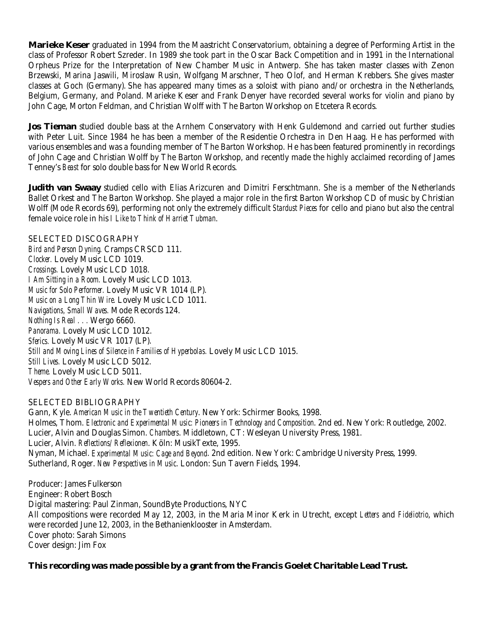**Marieke Keser** graduated in 1994 from the Maastricht Conservatorium, obtaining a degree of Performing Artist in the class of Professor Robert Szreder. In 1989 she took part in the Oscar Back Competition and in 1991 in the International Orpheus Prize for the Interpretation of New Chamber Music in Antwerp. She has taken master classes with Zenon Brzewski, Marina Jaswili, Miroslaw Rusin, Wolfgang Marschner, Theo Olof, and Herman Krebbers. She gives master classes at Goch (Germany). She has appeared many times as a soloist with piano and/or orchestra in the Netherlands, Belgium, Germany, and Poland. Marieke Keser and Frank Denyer have recorded several works for violin and piano by John Cage, Morton Feldman, and Christian Wolff with The Barton Workshop on Etcetera Records.

**Jos Tieman** studied double bass at the Arnhem Conservatory with Henk Guldemond and carried out further studies with Peter Luit. Since 1984 he has been a member of the Residentie Orchestra in Den Haag. He has performed with various ensembles and was a founding member of The Barton Workshop. He has been featured prominently in recordings of John Cage and Christian Wolff by The Barton Workshop, and recently made the highly acclaimed recording of James Tenney's *Beast* for solo double bass for New World Records.

**Judith van Swaay** studied cello with Elias Arizcuren and Dimitri Ferschtmann. She is a member of the Netherlands Ballet Orkest and The Barton Workshop. She played a major role in the first Barton Workshop CD of music by Christian Wolff (Mode Records 69), performing not only the extremely difficult *Stardust Pieces* for cello and piano but also the central female voice role in his *I Like to Think of Harriet Tubman*.

SELECTED DISCOGRAPHY *Bird and Person Dyning.* Cramps CRSCD 111. *Clocker.* Lovely Music LCD 1019. *Crossings.* Lovely Music LCD 1018. *I Am Sitting in a Room.* Lovely Music LCD 1013. *Music for Solo Performer.* Lovely Music VR 1014 (LP). *Music on a Long Thin Wire.* Lovely Music LCD 1011. *Navigations, Small Waves.* Mode Records 124. *Nothing Is Real . . .* Wergo 6660. *Panorama.* Lovely Music LCD 1012. *Sferics.* Lovely Music VR 1017 (LP). *Still and Moving Lines of Silence in Families of Hyperbolas.* Lovely Music LCD 1015. *Still Lives.* Lovely Music LCD 5012. *Theme.* Lovely Music LCD 5011. *Vespers and Other Early Works.* New World Records 80604-2.

#### SELECTED BIBLIOGRAPHY

Gann, Kyle. *American Music in the Twentieth Century*. New York: Schirmer Books, 1998. Holmes, Thom. *Electronic and Experimental Music: Pioneers in Technology and Composition*. 2nd ed. New York: Routledge, 2002. Lucier, Alvin and Douglas Simon. *Chambers*. Middletown, CT: Wesleyan University Press, 1981. Lucier, Alvin. *Reflections/Reflexionen*. Köln: MusikTexte, 1995. Nyman, Michael. *Experimental Music: Cage and Beyond*. 2nd edition. New York: Cambridge University Press, 1999. Sutherland, Roger. *New Perspectives in Music*. London: Sun Tavern Fields, 1994.

Producer: James Fulkerson Engineer: Robert Bosch Digital mastering: Paul Zinman, SoundByte Productions, NYC All compositions were recorded May 12, 2003, in the Maria Minor Kerk in Utrecht, except *Letters* and *Fideliotrio*, which were recorded June 12, 2003, in the Bethanienklooster in Amsterdam. Cover photo: Sarah Simons Cover design: Jim Fox

# **This recording was made possible by a grant from the Francis Goelet Charitable Lead Trust.**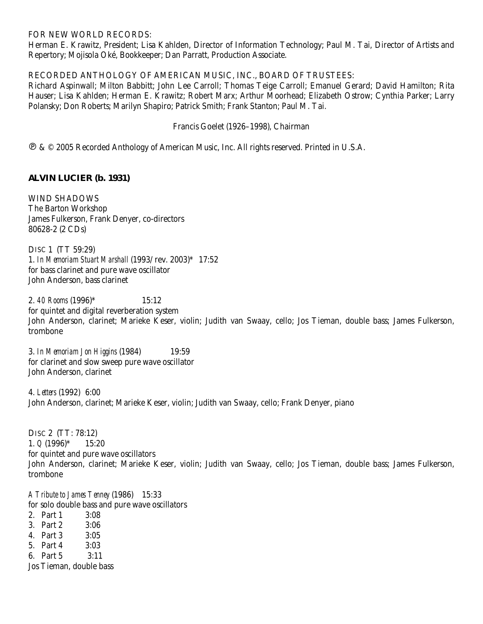#### FOR NEW WORLD RECORDS:

Herman E. Krawitz, President; Lisa Kahlden, Director of Information Technology; Paul M. Tai, Director of Artists and Repertory; Mojisola Oké, Bookkeeper; Dan Parratt, Production Associate.

## RECORDED ANTHOLOGY OF AMERICAN MUSIC, INC., BOARD OF TRUSTEES:

Richard Aspinwall; Milton Babbitt; John Lee Carroll; Thomas Teige Carroll; Emanuel Gerard; David Hamilton; Rita Hauser; Lisa Kahlden; Herman E. Krawitz; Robert Marx; Arthur Moorhead; Elizabeth Ostrow; Cynthia Parker; Larry Polansky; Don Roberts; Marilyn Shapiro; Patrick Smith; Frank Stanton; Paul M. Tai.

### Francis Goelet (1926–1998), Chairman

 $\mathcal{D} \& \mathcal{D}$  2005 Recorded Anthology of American Music, Inc. All rights reserved. Printed in U.S.A.

# **ALVIN LUCIER (b. 1931)**

WIND SHADOWS The Barton Workshop James Fulkerson, Frank Denyer, co-directors 80628-2 (2 CDs)

DISC 1 (TT 59:29) 1. *In Memoriam Stuart Marshall* (1993/rev. 2003)\* 17:52 for bass clarinet and pure wave oscillator John Anderson, bass clarinet

2. *40 Rooms* (1996)\* 15:12 for quintet and digital reverberation system John Anderson, clarinet; Marieke Keser, violin; Judith van Swaay, cello; Jos Tieman, double bass; James Fulkerson, trombone

3. *In Memoriam Jon Higgins* (1984) 19:59 for clarinet and slow sweep pure wave oscillator John Anderson, clarinet

4. *Letters* (1992) 6:00 John Anderson, clarinet; Marieke Keser, violin; Judith van Swaay, cello; Frank Denyer, piano

DISC 2 (TT: 78:12) 1. *Q* (1996)\* 15:20 for quintet and pure wave oscillators John Anderson, clarinet; Marieke Keser, violin; Judith van Swaay, cello; Jos Tieman, double bass; James Fulkerson, trombone

*A Tribute to James Tenney* (1986) 15:33 for solo double bass and pure wave oscillators 2. Part 1 3:08 3. Part 2 3:06 4. Part 3 3:05

- 5. Part 4 3:03
- 6. Part 5 3:11

Jos Tieman, double bass